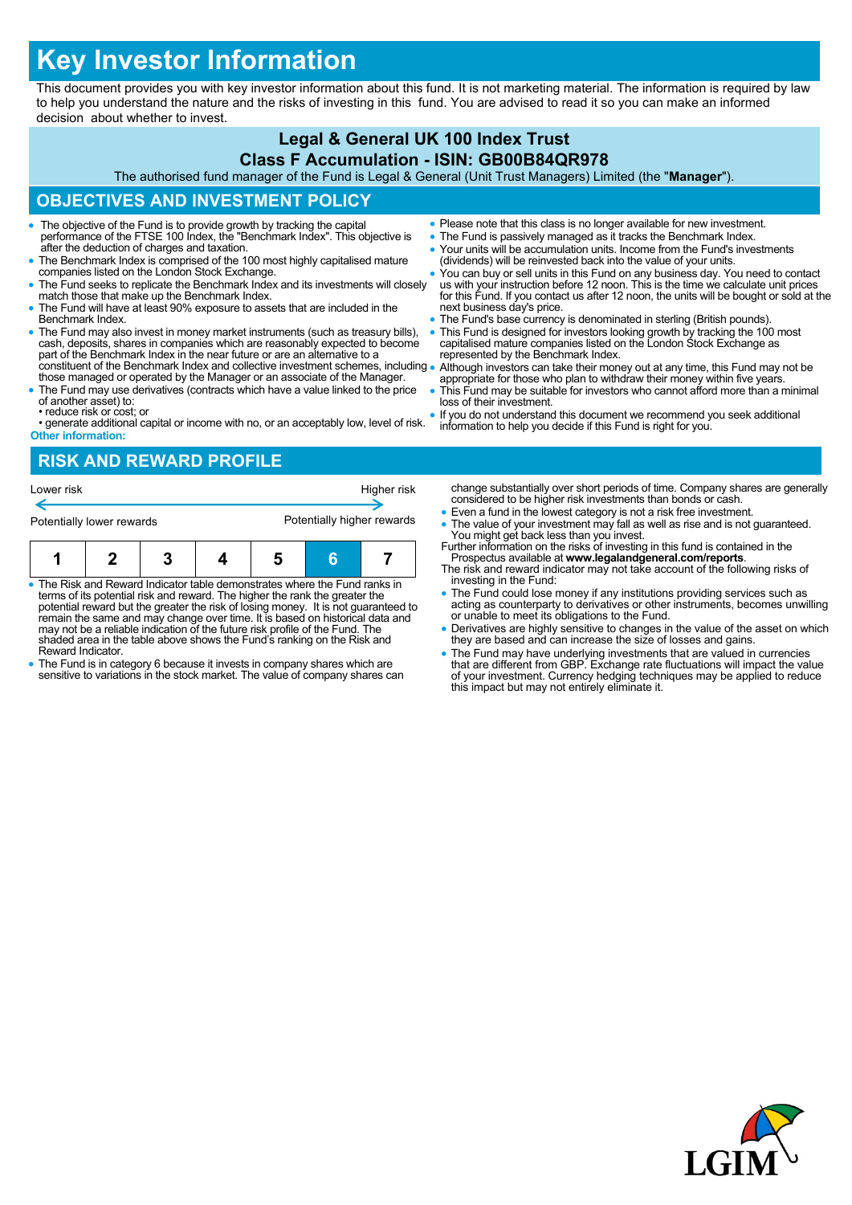# **Key Investor Information**

This document provides you with key investor information about this fund. It is not marketing material. The information is required by law to help you understand the nature and the risks of investing in this fund. You are advised to read it so you can make an informed decision about whether to invest.

## **Legal & General UK 100 Index Trust Class F Accumulation - ISIN: GB00B84QR978**

The authorised fund manager of the Fund is Legal & General (Unit Trust Managers) Limited (the "**Manager**").

## **OBJECTIVES AND INVESTMENT POLICY**

- The objective of the Fund is to provide growth by tracking the capital performance of the FTSE 100 Index, the "Benchmark Index". This objective is after the deduction of charges and taxation.
- The Benchmark Index is comprised of the 100 most highly capitalised mature companies listed on the London Stock Exchange.
- The Fund seeks to replicate the Benchmark Index and its investments will closely match those that make up the Benchmark Index.
- The Fund will have at least 90% exposure to assets that are included in the Benchmark Index.
- The Fund may also invest in money market instruments (such as treasury bills), cash, deposits, shares in companies which are reasonably expected to become part of the Benchmark Index in the near future or are an alternative to a constituent of the Benchmark Index and collective investment schemes, including
- those managed or operated by the Manager or an associate of the Manager. The Fund may use derivatives (contracts which have a value linked to the price
- of another asset) to: • reduce risk or cost; or
- generate additional capital or income with no, or an acceptably low, level of risk. **Other information:**
- **RISK AND REWARD PROFILE**

| Potentially lower rewards |  |  | Potentially higher rewards<br>G |  |  |  |
|---------------------------|--|--|---------------------------------|--|--|--|
| Lower risk                |  |  | Higher risk                     |  |  |  |

- The Risk and Reward Indicator table demonstrates where the Fund ranks in terms of its potential risk and reward. The higher the rank the greater the potential reward but the greater the risk of losing money. It is not guaranteed to remain the same and may change over time. It is based on historical data and may not be a reliable indication of the future risk profile of the Fund. The shaded area in the table above shows the Fund's ranking on the Risk and Reward Indicator.
- The Fund is in category 6 because it invests in company shares which are sensitive to variations in the stock market. The value of company shares can
- Please note that this class is no longer available for new investment.
- The Fund is passively managed as it tracks the Benchmark Index.
- Your units will be accumulation units. Income from the Fund's investments (dividends) will be reinvested back into the value of your units.
- You can buy or sell units in this Fund on any business day. You need to contact us with your instruction before 12 noon. This is the time we calculate unit prices for this Fund. If you contact us after 12 noon, the units will be bought or sold at the next business day's price.
- The Fund's base currency is denominated in sterling (British pounds).
- This Fund is designed for investors looking growth by tracking the 100 most capitalised mature companies listed on the London Stock Exchange as represented by the Benchmark Index.
- Although investors can take their money out at any time, this Fund may not be appropriate for those who plan to withdraw their money within five years.
- This Fund may be suitable for investors who cannot afford more than a minimal loss of their investment.
- If you do not understand this document we recommend you seek additional information to help you decide if this Fund is right for you.

change substantially over short periods of time. Company shares are generally considered to be higher risk investments than bonds or cash.

- Even a fund in the lowest category is not a risk free investment.
- The value of your investment may fall as well as rise and is not guaranteed. You might get back less than you invest. Further information on the risks of investing in this fund is contained in the
- Prospectus available at **www.legalandgeneral.com/reports**. The risk and reward indicator may not take account of the following risks of
- investing in the Fund: The Fund could lose money if any institutions providing services such as acting as counterparty to derivatives or other instruments, becomes unwilling or unable to meet its obligations to the Fund.
- Derivatives are highly sensitive to changes in the value of the asset on which they are based and can increase the size of losses and gains.
- The Fund may have underlying investments that are valued in currencies<br>that are different from GBP. Exchange rate fluctuations will impact the value<br>of your investment. Currency hedging techniques may be applied to reduc